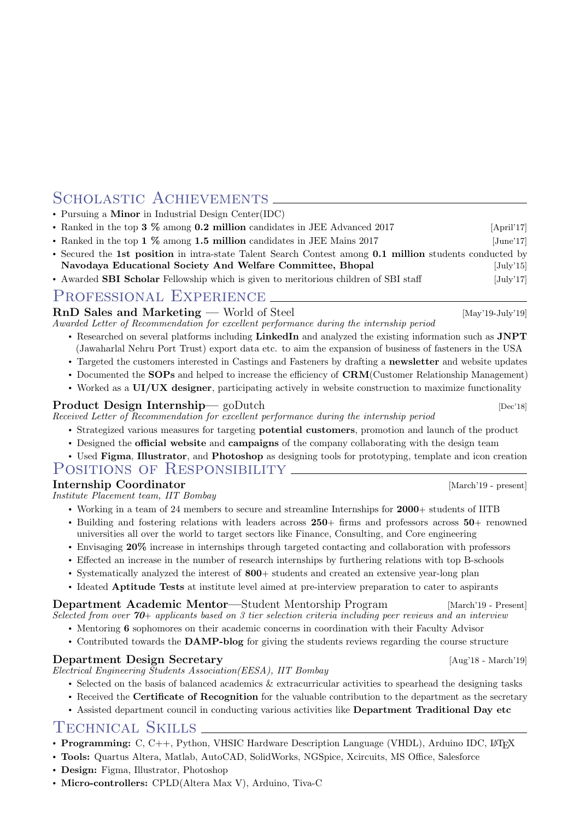# SCHOLASTIC ACHIEVEMENTS

- Pursuing a Minor in Industrial Design Center(IDC)
- Ranked in the top 3 % among 0.2 million candidates in JEE Advanced 2017 [April'17]
- Ranked in the top 1 % among 1.5 million candidates in JEE Mains 2017 [June'17]
- Secured the 1st position in intra-state Talent Search Contest among 0.1 million students conducted by Navodaya Educational Society And Welfare Committee, Bhopal [July'15]
- Awarded SBI Scholar Fellowship which is given to meritorious children of SBI staff [July'17]

# PROFESSIONAL EXPERIENCE

RnD Sales and Marketing — World of Steel [May'19-July'19]

Awarded Letter of Recommendation for excellent performance during the internship period

- Researched on several platforms including LinkedIn and analyzed the existing information such as JNPT (Jawaharlal Nehru Port Trust) export data etc. to aim the expansion of business of fasteners in the USA
- Targeted the customers interested in Castings and Fasteners by drafting a newsletter and website updates
- Documented the SOPs and helped to increase the efficiency of CRM(Customer Relationship Management)
- Worked as a UI/UX designer, participating actively in website construction to maximize functionality

## Product Design Internship— goDutch [Dec'18]

Received Letter of Recommendation for excellent performance during the internship period

- Strategized various measures for targeting potential customers, promotion and launch of the product
- Designed the **official website** and **campaigns** of the company collaborating with the design team
- Used Figma, Illustrator, and Photoshop as designing tools for prototyping, template and icon creation

# POSITIONS OF RESPONSIBILITY

Internship Coordinator [March'19 - present]

Institute Placement team, IIT Bombay

- Working in a team of 24 members to secure and streamline Internships for 2000+ students of IITB
- Building and fostering relations with leaders across 250+ firms and professors across 50+ renowned universities all over the world to target sectors like Finance, Consulting, and Core engineering
- Envisaging 20% increase in internships through targeted contacting and collaboration with professors
- Effected an increase in the number of research internships by furthering relations with top B-schools
- Systematically analyzed the interest of  $800+$  students and created an extensive year-long plan
- Ideated Aptitude Tests at institute level aimed at pre-interview preparation to cater to aspirants

Department Academic Mentor—Student Mentorship Program [March'19 - Present] Selected from over  $70+$  applicants based on 3 tier selection criteria including peer reviews and an interview

- Mentoring 6 sophomores on their academic concerns in coordination with their Faculty Advisor
- Contributed towards the DAMP-blog for giving the students reviews regarding the course structure

#### Department Design Secretary [Aug'18 - March'19]

Electrical Engineering Students Association(EESA), IIT Bombay

- Selected on the basis of balanced academics & extracurricular activities to spearhead the designing tasks
- Received the Certificate of Recognition for the valuable contribution to the department as the secretary
- Assisted department council in conducting various activities like Department Traditional Day etc

# TECHNICAL SKILLS.

- Programming: C, C++, Python, VHSIC Hardware Description Language (VHDL), Arduino IDC, L<sup>AT</sup>FX
- Tools: Quartus Altera, Matlab, AutoCAD, SolidWorks, NGSpice, Xcircuits, MS Office, Salesforce
- Design: Figma, Illustrator, Photoshop
- Micro-controllers: CPLD(Altera Max V), Arduino, Tiva-C